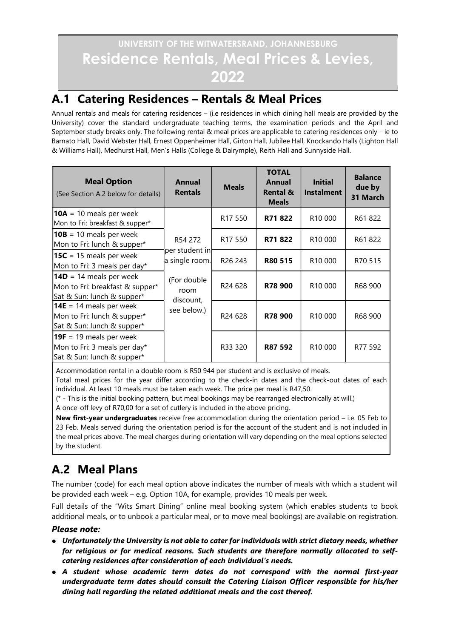# UNIVERSITY OF THE WITWATERSRAND, JOHANNESBURG Residence Rentals, Meal Prices & Levies, 2022

### A.1 Catering Residences – Rentals & Meal Prices

Annual rentals and meals for catering residences – (i.e residences in which dining hall meals are provided by the University) cover the standard undergraduate teaching terms, the examination periods and the April and September study breaks only. The following rental & meal prices are applicable to catering residences only – ie to Barnato Hall, David Webster Hall, Ernest Oppenheimer Hall, Girton Hall, Jubilee Hall, Knockando Halls (Lighton Hall & Williams Hall), Medhurst Hall, Men's Halls (College & Dalrymple), Reith Hall and Sunnyside Hall.

| <b>Meal Option</b><br>(See Section A.2 below for details)                                  | Annual<br><b>Rentals</b>                    | <b>Meals</b>        | <b>TOTAL</b><br>Annual<br><b>Rental &amp;</b><br><b>Meals</b> | <b>Initial</b><br><b>Instalment</b> | <b>Balance</b><br>due by<br>31 March |
|--------------------------------------------------------------------------------------------|---------------------------------------------|---------------------|---------------------------------------------------------------|-------------------------------------|--------------------------------------|
| $10A = 10$ meals per week<br>Mon to Fri: breakfast & supper*                               | R54 272<br>per student in<br>a single room. | R <sub>17</sub> 550 | R71822                                                        | R <sub>10</sub> 000                 | R61822                               |
| $10B = 10$ meals per week<br>Mon to Fri: lunch & supper*                                   |                                             | R <sub>17</sub> 550 | R71822                                                        | R10 000                             | R61822                               |
| <b>15C</b> = 15 meals per week<br>Mon to Fri: 3 meals per day*                             |                                             | R <sub>26</sub> 243 | R80 515                                                       | R <sub>10</sub> 000                 | R70 515                              |
| $14D = 14$ meals per week<br>Mon to Fri: breakfast & supper*<br>Sat & Sun: lunch & supper* | (For double<br>room<br>discount,            | R24 628             | R78 900                                                       | R10 000                             | R68 900                              |
| 14E = 14 meals per week<br>Mon to Fri: lunch & supper*<br>Sat & Sun: lunch & supper*       | see below.)                                 | R24 628             | R78 900                                                       | R <sub>10</sub> 000                 | R68 900                              |
| $19F = 19$ meals per week<br>Mon to Fri: 3 meals per day*<br>Sat & Sun: lunch & supper*    |                                             | R33 320             | R87 592                                                       | R <sub>10</sub> 000                 | R77 592                              |

Accommodation rental in a double room is R50 944 per student and is exclusive of meals.

Total meal prices for the year differ according to the check-in dates and the check-out dates of each individual. At least 10 meals must be taken each week. The price per meal is R47,50.

(\* - This is the initial booking pattern, but meal bookings may be rearranged electronically at will.)

A once-off levy of R70,00 for a set of cutlery is included in the above pricing.

New first-year undergraduates receive free accommodation during the orientation period – i.e. 05 Feb to 23 Feb. Meals served during the orientation period is for the account of the student and is not included in the meal prices above. The meal charges during orientation will vary depending on the meal options selected by the student.

# A.2 Meal Plans

The number (code) for each meal option above indicates the number of meals with which a student will be provided each week – e.g. Option 10A, for example, provides 10 meals per week.

Full details of the "Wits Smart Dining" online meal booking system (which enables students to book additional meals, or to unbook a particular meal, or to move meal bookings) are available on registration.

#### Please note:

- Unfortunately the University is not able to cater for individuals with strict dietary needs, whether for religious or for medical reasons. Such students are therefore normally allocated to selfcatering residences after consideration of each individual's needs.
- A student whose academic term dates do not correspond with the normal first-year undergraduate term dates should consult the Catering Liaison Officer responsible for his/her dining hall regarding the related additional meals and the cost thereof.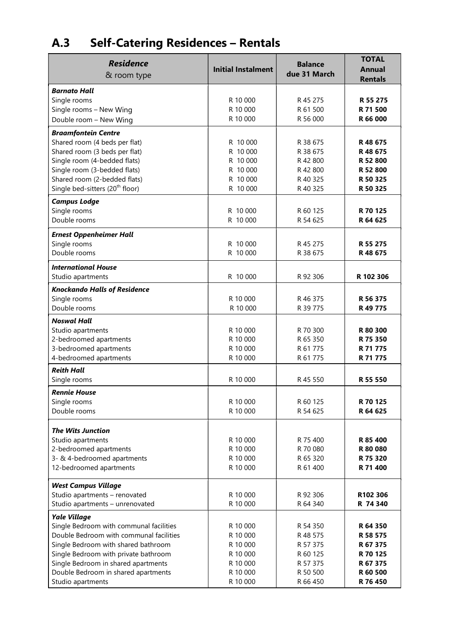# A.3 Self-Catering Residences – Rentals

| Residence<br>& room type                                                       | <b>Initial Instalment</b> | <b>Balance</b><br>due 31 March | <b>TOTAL</b><br>Annual<br><b>Rentals</b> |
|--------------------------------------------------------------------------------|---------------------------|--------------------------------|------------------------------------------|
| <b>Barnato Hall</b>                                                            |                           |                                |                                          |
| Single rooms                                                                   | R 10 000<br>R 10 000      | R 45 275<br>R 61 500           | R 55 275<br>R 71 500                     |
| Single rooms - New Wing                                                        | R 10 000                  | R 56 000                       | R 66 000                                 |
| Double room - New Wing                                                         |                           |                                |                                          |
| <b>Braamfontein Centre</b>                                                     |                           |                                |                                          |
| Shared room (4 beds per flat)                                                  | R 10 000                  | R 38 675                       | R48675                                   |
| Shared room (3 beds per flat)                                                  | R 10 000<br>R 10 000      | R 38 675<br>R 42 800           | R48675<br>R 52 800                       |
| Single room (4-bedded flats)<br>Single room (3-bedded flats)                   | R 10 000                  | R 42 800                       | R 52 800                                 |
| Shared room (2-bedded flats)                                                   | R 10 000                  | R 40 325                       | R 50 325                                 |
| Single bed-sitters (20 <sup>th</sup> floor)                                    | R 10 000                  | R 40 325                       | R 50 325                                 |
| <b>Campus Lodge</b>                                                            |                           |                                |                                          |
| Single rooms                                                                   | R 10 000                  | R 60 125                       | R 70 125                                 |
| Double rooms                                                                   | R 10 000                  | R 54 625                       | R 64 625                                 |
|                                                                                |                           |                                |                                          |
| <b>Ernest Oppenheimer Hall</b>                                                 |                           |                                |                                          |
| Single rooms<br>Double rooms                                                   | R 10 000<br>R 10 000      | R 45 275<br>R 38 675           | R 55 275<br>R 48 675                     |
|                                                                                |                           |                                |                                          |
| <b>International House</b>                                                     |                           |                                |                                          |
| Studio apartments                                                              | R 10 000                  | R 92 306                       | R 102 306                                |
| <b>Knockando Halls of Residence</b>                                            |                           |                                |                                          |
| Single rooms                                                                   | R 10 000                  | R 46 375                       | R 56 375                                 |
| Double rooms                                                                   | R 10 000                  | R 39 775                       | R49775                                   |
| <b>Noswal Hall</b>                                                             |                           |                                |                                          |
| Studio apartments                                                              | R 10 000                  | R 70 300                       | R 80 300                                 |
| 2-bedroomed apartments                                                         | R 10 000                  | R 65 350                       | R 75 350                                 |
| 3-bedroomed apartments                                                         | R 10 000                  | R 61 775                       | R 71 775                                 |
| 4-bedroomed apartments                                                         | R 10 000                  | R 61 775                       | R 71 775                                 |
| <b>Reith Hall</b><br>Single rooms                                              | R 10 000                  | R 45 550                       | R 55 550                                 |
|                                                                                |                           |                                |                                          |
| <b>Rennie House</b>                                                            |                           |                                |                                          |
| Single rooms<br>Double rooms                                                   | R 10 000                  | R 60 125                       | R 70 125                                 |
|                                                                                | R 10 000                  | R 54 625                       | R 64 625                                 |
| <b>The Wits Junction</b>                                                       |                           |                                |                                          |
| Studio apartments                                                              | R 10 000                  | R 75 400                       | R 85 400                                 |
| 2-bedroomed apartments                                                         | R 10 000                  | R 70 080                       | R 80 080                                 |
| 3- & 4-bedroomed apartments                                                    | R 10 000                  | R 65 320                       | R 75 320                                 |
| 12-bedroomed apartments                                                        | R 10 000                  | R 61 400                       | R 71 400                                 |
|                                                                                |                           |                                |                                          |
| West Campus Village                                                            |                           |                                |                                          |
| Studio apartments - renovated                                                  | R 10 000<br>R 10 000      | R 92 306                       | R102 306<br>R 74 340                     |
| Studio apartments - unrenovated                                                |                           | R 64 340                       |                                          |
| Yale Village                                                                   |                           |                                |                                          |
| Single Bedroom with communal facilities                                        | R 10 000                  | R 54 350                       | R 64 350                                 |
| Double Bedroom with communal facilities<br>Single Bedroom with shared bathroom | R 10 000<br>R 10 000      | R 48 575<br>R 57 375           | R 58 575<br>R 67 375                     |
| Single Bedroom with private bathroom                                           | R 10 000                  | R 60 125                       | R 70 125                                 |
| Single Bedroom in shared apartments                                            | R 10 000                  | R 57 375                       | R 67 375                                 |
| Double Bedroom in shared apartments                                            | R 10 000                  | R 50 500                       | R 60 500                                 |
| Studio apartments                                                              | R 10 000                  | R 66 450                       | R 76 450                                 |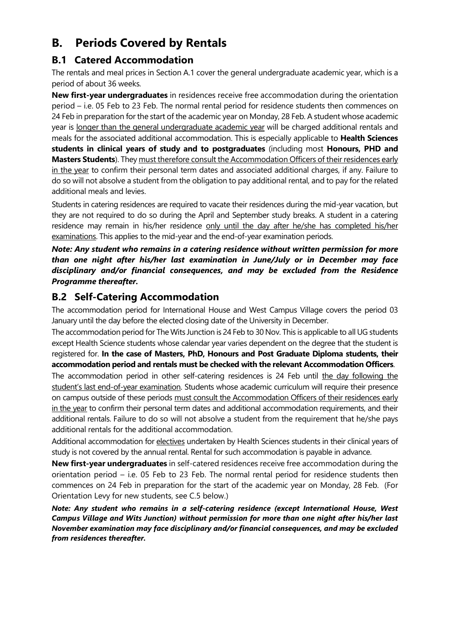## B. Periods Covered by Rentals

#### B.1 Catered Accommodation

The rentals and meal prices in Section A.1 cover the general undergraduate academic year, which is a period of about 36 weeks.

New first-year undergraduates in residences receive free accommodation during the orientation period – i.e. 05 Feb to 23 Feb. The normal rental period for residence students then commences on 24 Feb in preparation for the start of the academic year on Monday, 28 Feb. A student whose academic year is longer than the general undergraduate academic year will be charged additional rentals and meals for the associated additional accommodation. This is especially applicable to Health Sciences students in clinical years of study and to postgraduates (including most Honours, PHD and **Masters Students**). They must therefore consult the Accommodation Officers of their residences early in the year to confirm their personal term dates and associated additional charges, if any. Failure to do so will not absolve a student from the obligation to pay additional rental, and to pay for the related additional meals and levies.

Students in catering residences are required to vacate their residences during the mid-year vacation, but they are not required to do so during the April and September study breaks. A student in a catering residence may remain in his/her residence only until the day after he/she has completed his/her examinations. This applies to the mid-year and the end-of-year examination periods.

Note: Any student who remains in a catering residence without written permission for more than one night after his/her last examination in June/July or in December may face disciplinary and/or financial consequences, and may be excluded from the Residence Programme thereafter.

#### B.2 Self-Catering Accommodation

The accommodation period for International House and West Campus Village covers the period 03 January until the day before the elected closing date of the University in December.

The accommodation period for The Wits Junction is 24 Feb to 30 Nov. This is applicable to all UG students except Health Science students whose calendar year varies dependent on the degree that the student is registered for. In the case of Masters, PhD, Honours and Post Graduate Diploma students, their accommodation period and rentals must be checked with the relevant Accommodation Officers.

The accommodation period in other self-catering residences is 24 Feb until the day following the student's last end-of-year examination. Students whose academic curriculum will require their presence on campus outside of these periods must consult the Accommodation Officers of their residences early in the year to confirm their personal term dates and additional accommodation requirements, and their additional rentals. Failure to do so will not absolve a student from the requirement that he/she pays additional rentals for the additional accommodation.

Additional accommodation for electives undertaken by Health Sciences students in their clinical years of study is not covered by the annual rental. Rental for such accommodation is payable in advance.

New first-year undergraduates in self-catered residences receive free accommodation during the orientation period – i.e. 05 Feb to 23 Feb. The normal rental period for residence students then commences on 24 Feb in preparation for the start of the academic year on Monday, 28 Feb. (For Orientation Levy for new students, see C.5 below.)

Note: Any student who remains in a self-catering residence (except International House, West Campus Village and Wits Junction) without permission for more than one night after his/her last November examination may face disciplinary and/or financial consequences, and may be excluded from residences thereafter.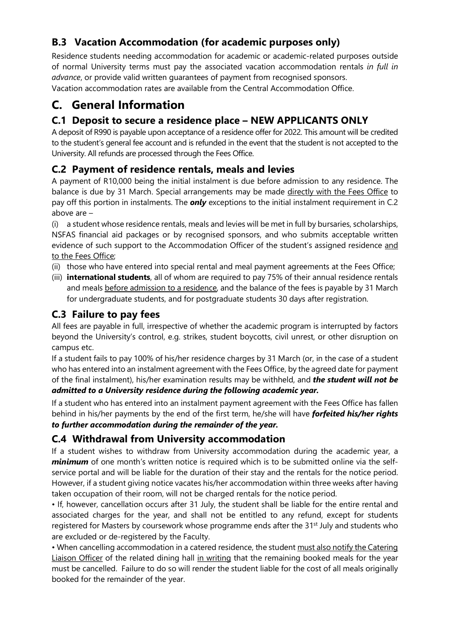#### B.3 Vacation Accommodation (for academic purposes only)

Residence students needing accommodation for academic or academic-related purposes outside of normal University terms must pay the associated vacation accommodation rentals in full in advance, or provide valid written guarantees of payment from recognised sponsors. Vacation accommodation rates are available from the Central Accommodation Office.

### C. General Information

#### C.1 Deposit to secure a residence place – NEW APPLICANTS ONLY

A deposit of R990 is payable upon acceptance of a residence offer for 2022. This amount will be credited to the student's general fee account and is refunded in the event that the student is not accepted to the University. All refunds are processed through the Fees Office.

#### C.2 Payment of residence rentals, meals and levies

A payment of R10,000 being the initial instalment is due before admission to any residence. The balance is due by 31 March. Special arrangements may be made directly with the Fees Office to pay off this portion in instalments. The **only** exceptions to the initial instalment requirement in C.2 above are –

(i) a student whose residence rentals, meals and levies will be met in full by bursaries, scholarships, NSFAS financial aid packages or by recognised sponsors, and who submits acceptable written evidence of such support to the Accommodation Officer of the student's assigned residence and to the Fees Office;

- (ii) those who have entered into special rental and meal payment agreements at the Fees Office;
- (iii) **international students**, all of whom are required to pay 75% of their annual residence rentals and meals before admission to a residence, and the balance of the fees is payable by 31 March for undergraduate students, and for postgraduate students 30 days after registration.

#### C.3 Failure to pay fees

All fees are payable in full, irrespective of whether the academic program is interrupted by factors beyond the University's control, e.g. strikes, student boycotts, civil unrest, or other disruption on campus etc.

If a student fails to pay 100% of his/her residence charges by 31 March (or, in the case of a student who has entered into an instalment agreement with the Fees Office, by the agreed date for payment of the final instalment), his/her examination results may be withheld, and *the student will not be* admitted to a University residence during the following academic year.

If a student who has entered into an instalment payment agreement with the Fees Office has fallen behind in his/her payments by the end of the first term, he/she will have forfeited his/her rights to further accommodation during the remainder of the year.

#### C.4 Withdrawal from University accommodation

If a student wishes to withdraw from University accommodation during the academic year, a minimum of one month's written notice is required which is to be submitted online via the selfservice portal and will be liable for the duration of their stay and the rentals for the notice period. However, if a student giving notice vacates his/her accommodation within three weeks after having taken occupation of their room, will not be charged rentals for the notice period.

• If, however, cancellation occurs after 31 July, the student shall be liable for the entire rental and associated charges for the year, and shall not be entitled to any refund, except for students registered for Masters by coursework whose programme ends after the 31<sup>st</sup> July and students who are excluded or de-registered by the Faculty.

• When cancelling accommodation in a catered residence, the student must also notify the Catering Liaison Officer of the related dining hall in writing that the remaining booked meals for the year must be cancelled. Failure to do so will render the student liable for the cost of all meals originally booked for the remainder of the year.